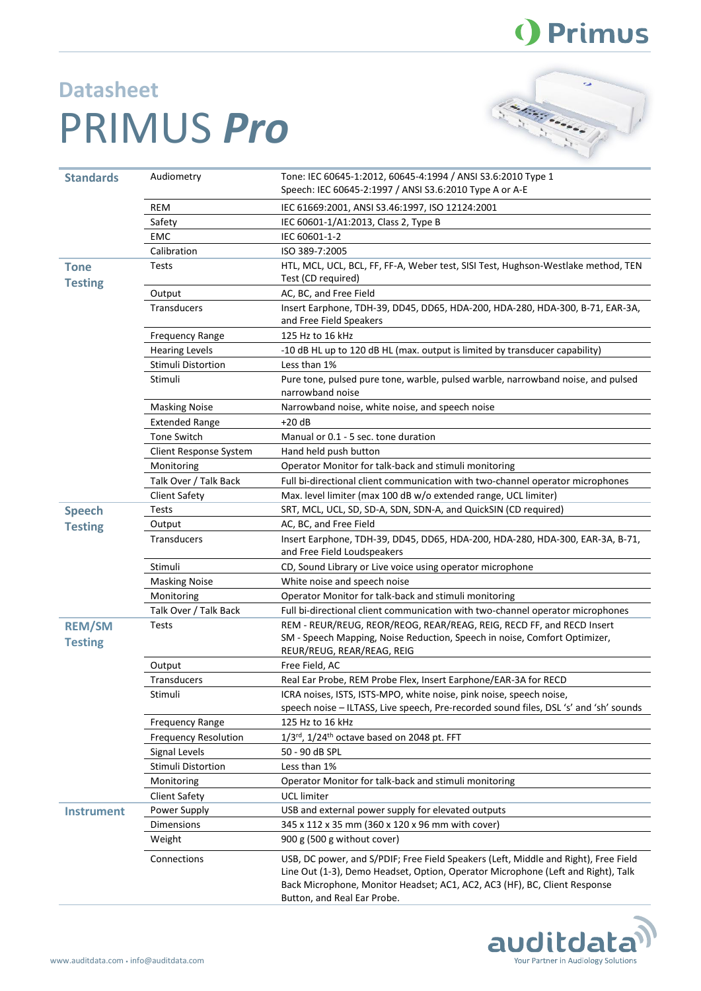

## **Datasheet** PRIMUS *Pro*



| <b>Standards</b>              | Audiometry                  | Tone: IEC 60645-1:2012, 60645-4:1994 / ANSI S3.6:2010 Type 1<br>Speech: IEC 60645-2:1997 / ANSI S3.6:2010 Type A or A-E                                                                                                                                                             |
|-------------------------------|-----------------------------|-------------------------------------------------------------------------------------------------------------------------------------------------------------------------------------------------------------------------------------------------------------------------------------|
|                               |                             |                                                                                                                                                                                                                                                                                     |
|                               | REM                         | IEC 61669:2001, ANSI S3.46:1997, ISO 12124:2001                                                                                                                                                                                                                                     |
|                               | Safety                      | IEC 60601-1/A1:2013, Class 2, Type B                                                                                                                                                                                                                                                |
|                               | EMC                         | IEC 60601-1-2                                                                                                                                                                                                                                                                       |
|                               | Calibration                 | ISO 389-7:2005                                                                                                                                                                                                                                                                      |
| <b>Tone</b><br><b>Testing</b> | Tests                       | HTL, MCL, UCL, BCL, FF, FF-A, Weber test, SISI Test, Hughson-Westlake method, TEN<br>Test (CD required)                                                                                                                                                                             |
|                               | Output                      | AC, BC, and Free Field                                                                                                                                                                                                                                                              |
|                               | <b>Transducers</b>          | Insert Earphone, TDH-39, DD45, DD65, HDA-200, HDA-280, HDA-300, B-71, EAR-3A,<br>and Free Field Speakers                                                                                                                                                                            |
|                               | <b>Frequency Range</b>      | 125 Hz to 16 kHz                                                                                                                                                                                                                                                                    |
|                               | <b>Hearing Levels</b>       | -10 dB HL up to 120 dB HL (max. output is limited by transducer capability)                                                                                                                                                                                                         |
|                               | Stimuli Distortion          | Less than 1%                                                                                                                                                                                                                                                                        |
|                               | Stimuli                     | Pure tone, pulsed pure tone, warble, pulsed warble, narrowband noise, and pulsed<br>narrowband noise                                                                                                                                                                                |
|                               | <b>Masking Noise</b>        | Narrowband noise, white noise, and speech noise                                                                                                                                                                                                                                     |
|                               | <b>Extended Range</b>       | +20 dB                                                                                                                                                                                                                                                                              |
|                               | <b>Tone Switch</b>          | Manual or 0.1 - 5 sec. tone duration                                                                                                                                                                                                                                                |
|                               | Client Response System      | Hand held push button                                                                                                                                                                                                                                                               |
|                               | Monitoring                  | Operator Monitor for talk-back and stimuli monitoring                                                                                                                                                                                                                               |
|                               | Talk Over / Talk Back       | Full bi-directional client communication with two-channel operator microphones                                                                                                                                                                                                      |
|                               | <b>Client Safety</b>        | Max. level limiter (max 100 dB w/o extended range, UCL limiter)                                                                                                                                                                                                                     |
| <b>Speech</b>                 | Tests                       | SRT, MCL, UCL, SD, SD-A, SDN, SDN-A, and QuickSIN (CD required)                                                                                                                                                                                                                     |
| <b>Testing</b>                | Output                      | AC, BC, and Free Field                                                                                                                                                                                                                                                              |
|                               | <b>Transducers</b>          | Insert Earphone, TDH-39, DD45, DD65, HDA-200, HDA-280, HDA-300, EAR-3A, B-71,<br>and Free Field Loudspeakers                                                                                                                                                                        |
|                               | Stimuli                     | CD, Sound Library or Live voice using operator microphone                                                                                                                                                                                                                           |
|                               | <b>Masking Noise</b>        | White noise and speech noise                                                                                                                                                                                                                                                        |
|                               | Monitoring                  | Operator Monitor for talk-back and stimuli monitoring                                                                                                                                                                                                                               |
|                               | Talk Over / Talk Back       | Full bi-directional client communication with two-channel operator microphones                                                                                                                                                                                                      |
| <b>REM/SM</b>                 | <b>Tests</b>                | REM - REUR/REUG, REOR/REOG, REAR/REAG, REIG, RECD FF, and RECD Insert                                                                                                                                                                                                               |
| <b>Testing</b>                |                             | SM - Speech Mapping, Noise Reduction, Speech in noise, Comfort Optimizer,<br>REUR/REUG, REAR/REAG, REIG                                                                                                                                                                             |
|                               | Output                      | Free Field, AC                                                                                                                                                                                                                                                                      |
|                               | Transducers                 | Real Ear Probe, REM Probe Flex, Insert Earphone/EAR-3A for RECD                                                                                                                                                                                                                     |
|                               | Stimuli                     | ICRA noises, ISTS, ISTS-MPO, white noise, pink noise, speech noise,                                                                                                                                                                                                                 |
|                               |                             | speech noise - ILTASS, Live speech, Pre-recorded sound files, DSL 's' and 'sh' sounds                                                                                                                                                                                               |
|                               | <b>Frequency Range</b>      | 125 Hz to 16 kHz                                                                                                                                                                                                                                                                    |
|                               | <b>Frequency Resolution</b> | 1/3rd, 1/24th octave based on 2048 pt. FFT                                                                                                                                                                                                                                          |
|                               | Signal Levels               | 50 - 90 dB SPL                                                                                                                                                                                                                                                                      |
|                               | <b>Stimuli Distortion</b>   | Less than 1%                                                                                                                                                                                                                                                                        |
|                               | Monitoring                  | Operator Monitor for talk-back and stimuli monitoring                                                                                                                                                                                                                               |
|                               | <b>Client Safety</b>        | <b>UCL</b> limiter                                                                                                                                                                                                                                                                  |
| <b>Instrument</b>             | Power Supply                | USB and external power supply for elevated outputs                                                                                                                                                                                                                                  |
|                               | <b>Dimensions</b>           | 345 x 112 x 35 mm (360 x 120 x 96 mm with cover)                                                                                                                                                                                                                                    |
|                               | Weight                      | 900 g (500 g without cover)                                                                                                                                                                                                                                                         |
|                               | Connections                 | USB, DC power, and S/PDIF; Free Field Speakers (Left, Middle and Right), Free Field<br>Line Out (1-3), Demo Headset, Option, Operator Microphone (Left and Right), Talk<br>Back Microphone, Monitor Headset; AC1, AC2, AC3 (HF), BC, Client Response<br>Button, and Real Ear Probe. |